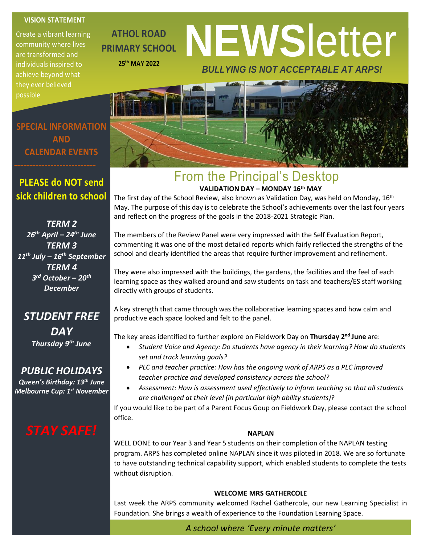#### **VISION STATEMENT**

Create a vibrant learning community where lives are transformed and individuals inspired to achieve beyond what they ever believed possible

**ATHOL ROAD PRIMARY SCHOOL 25th MAY 2022**

# **NEWS**letter *BULLYING IS NOT ACCEPTABLE AT ARPS!*

**SPECIAL INFORMATION AND CALENDAR EVENTS**

### **PLEASE do NOT send sick children to school**

*TERM 2 26th April – 24th June TERM 3 11th July – 16th September TERM 4 3 rd October – 20th December*

#### *STUDENT FREE DAY*

*Thursday 9th June*

#### *PUBLIC HOLIDAYS*

*Queen's Birthday: 13th June Melbourne Cup: 1st November*

#### From the Principal's Desktop **VALIDATION DAY – MONDAY 16th MAY**

The first day of the School Review, also known as Validation Day, was held on Monday, 16<sup>th</sup> May. The purpose of this day is to celebrate the School's achievements over the last four years and reflect on the progress of the goals in the 2018-2021 Strategic Plan.

 school and clearly identified the areas that require further improvement and refinement. The members of the Review Panel were very impressed with the Self Evaluation Report, commenting it was one of the most detailed reports which fairly reflected the strengths of the

They were also impressed with the buildings, the gardens, the facilities and the feel of each learning space as they walked around and saw students on task and teachers/ES staff working directly with groups of students.

A key strength that came through was the collaborative learning spaces and how calm and productive each space looked and felt to the panel.

The key areas identified to further explore on Fieldwork Day on **Thursday 2nd June** are:

- *Student Voice and Agency: Do students have agency in their learning? How do students set and track learning goals?*
- *PLC and teacher practice: How has the ongoing work of ARPS as a PLC improved teacher practice and developed consistency across the school?*
- *Assessment: How is assessment used effectively to inform teaching so that all students are challenged at their level (in particular high ability students)?*

If you would like to be part of a Parent Focus Goup on Fieldwork Day, please contact the school office.

#### **NAPLAN**

WELL DONE to our Year 3 and Year 5 students on their completion of the NAPLAN testing program. ARPS has completed online NAPLAN since it was piloted in 2018. We are so fortunate to have outstanding technical capability support, which enabled students to complete the tests without disruption.

#### **WELCOME MRS GATHERCOLE**

Last week the ARPS community welcomed Rachel Gathercole, our new Learning Specialist in Foundation. She brings a wealth of experience to the Foundation Learning Space.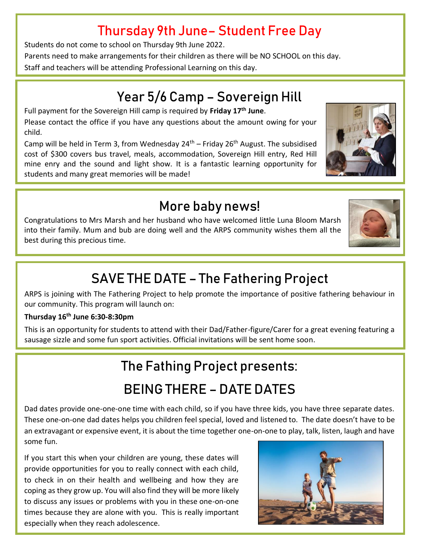## Thursday 9th June– Student Free Day

Students do not come to school on Thursday 9th June 2022.

Parents need to make arrangements for their children as there will be NO SCHOOL on this day. Staff and teachers will be attending Professional Learning on this day.

## Year 5/6 Camp – Sovereign Hill

Full payment for the Sovereign Hill camp is required by **Friday 17th June**. Please contact the office if you have any questions about the amount owing for your child.

Camp will be held in Term 3, from Wednesday  $24<sup>th</sup>$  – Friday  $26<sup>th</sup>$  August. The subsidised cost of \$300 covers bus travel, meals, accommodation, Sovereign Hill entry, Red Hill mine enry and the sound and light show. It is a fantastic learning opportunity for students and many great memories will be made!

## More baby news!

Congratulations to Mrs Marsh and her husband who have welcomed little Luna Bloom Marsh into their family. Mum and bub are doing well and the ARPS community wishes them all the best during this precious time.

## SAVE THE DATE – The Fathering Project

ARPS is joining with The Fathering Project to help promote the importance of positive fathering behaviour in our community. This program will launch on:

#### **Thursday 16th June 6:30-8:30pm**

This is an opportunity for students to attend with their Dad/Father-figure/Carer for a great evening featuring a sausage sizzle and some fun sport activities. Official invitations will be sent home soon.

## The Fathing Project presents: BEING THERE – DATE DATES

Dad dates provide one-one-one time with each child, so if you have three kids, you have three separate dates. These one-on-one dad dates helps you children feel special, loved and listened to. The date doesn't have to be an extravagant or expensive event, it is about the time together one-on-one to play, talk, listen, laugh and have some fun.

If you start this when your children are young, these dates will provide opportunities for you to really connect with each child, to check in on their health and wellbeing and how they are coping as they grow up. You will also find they will be more likely to discuss any issues or problems with you in these one-on-one times because they are alone with you. This is really important especially when they reach adolescence.







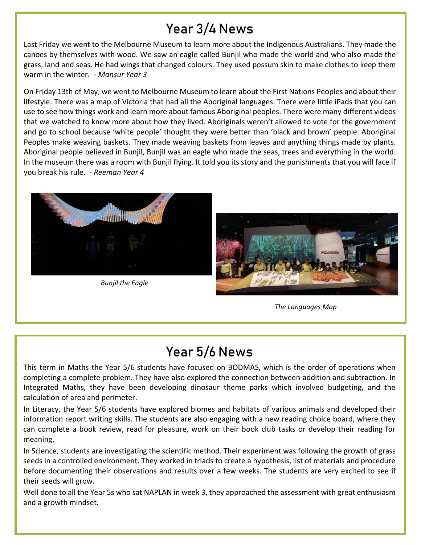## Year 3/4 News

Last Friday we went to the Melbourne Museum to learn more about the Indigenous Australians. They made the canoes by themselves with wood. We saw an eagle called Bunjil who made the world and who also made the grass, land and seas. He had wings that changed colours. They used possum skin to make clothes to keep them warm in the winter. *- Mansur Year 3* 

On Friday 13th of May, we went to Melbourne Museum to learn about the First Nations Peoples and about their lifestyle. There was a map of Victoria that had all the Aboriginal languages. There were little iPads that you can use to see how things work and learn more about famous Aboriginal peoples. There were many different videos that we watched to know more about how they lived. Aboriginals weren't allowed to vote for the government and go to school because 'white people' thought they were better than 'black and brown' people. Aboriginal Peoples make weaving baskets. They made weaving baskets from leaves and anything things made by plants. Aboriginal people believed in Bunjil, Bunjil was an eagle who made the seas, trees and everything in the world. In the museum there was a room with Bunjil flying. It told you its story and the punishments that you will face if you break his rule. - *Reeman Year 4*



*Bunjil the Eagle*



*The Languages Map*

## Year 5/6 News

This term in Maths the Year 5/6 students have focused on BODMAS, which is the order of operations when completing a complete problem. They have also explored the connection between addition and subtraction. In Integrated Maths, they have been developing dinosaur theme parks which involved budgeting, and the calculation of area and perimeter.

In Literacy, the Year 5/6 students have explored biomes and habitats of various animals and developed their information report writing skills. The students are also engaging with a new reading choice board, where they can complete a book review, read for pleasure, work on their book club tasks or develop their reading for meaning.

In Science, students are investigating the scientific method. Their experiment was following the growth of grass seeds in a controlled environment. They worked in triads to create a hypothesis, list of materials and procedure before documenting their observations and results over a few weeks. The students are very excited to see if their seeds will grow.

Well done to all the Year 5s who sat NAPLAN in week 3, they approached the assessment with great enthusiasm and a growth mindset.